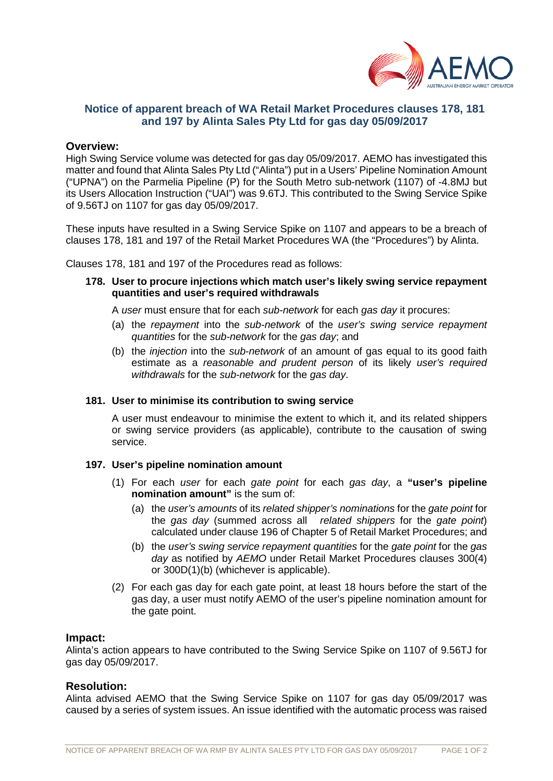

# **Notice of apparent breach of WA Retail Market Procedures clauses 178, 181 and 197 by Alinta Sales Pty Ltd for gas day 05/09/2017**

# **Overview:**

High Swing Service volume was detected for gas day 05/09/2017. AEMO has investigated this matter and found that Alinta Sales Pty Ltd ("Alinta") put in a Users' Pipeline Nomination Amount ("UPNA") on the Parmelia Pipeline (P) for the South Metro sub-network (1107) of -4.8MJ but its Users Allocation Instruction ("UAI") was 9.6TJ. This contributed to the Swing Service Spike of 9.56TJ on 1107 for gas day 05/09/2017.

These inputs have resulted in a Swing Service Spike on 1107 and appears to be a breach of clauses 178, 181 and 197 of the Retail Market Procedures WA (the "Procedures") by Alinta.

Clauses 178, 181 and 197 of the Procedures read as follows:

**178. User to procure injections which match user's likely swing service repayment quantities and user's required withdrawals**

A *user* must ensure that for each *sub-network* for each *gas day* it procures:

- (a) the *repayment* into the *sub-network* of the *user's swing service repayment quantities* for the *sub-network* for the *gas day*; and
- (b) the *injection* into the *sub-network* of an amount of gas equal to its good faith estimate as a *reasonable and prudent person* of its likely *user's required withdrawals* for the *sub-network* for the *gas day*.

#### **181. User to minimise its contribution to swing service**

A user must endeavour to minimise the extent to which it, and its related shippers or swing service providers (as applicable), contribute to the causation of swing service.

## **197. User's pipeline nomination amount**

- (1) For each *user* for each *gate point* for each *gas day*, a **"user's pipeline nomination amount"** is the sum of:
	- (a) the *user's amounts* of its *related shipper's nominations* for the *gate point* for the *gas day* (summed across all *related shippers* for the *gate point*) calculated under clause 196 of Chapter 5 of Retail Market Procedures; and
	- (b) the *user's swing service repayment quantities* for the *gate point* for the *gas day* as notified by *AEMO* under Retail Market Procedures clauses 300(4) or 300D(1)(b) (whichever is applicable).
- (2) For each gas day for each gate point, at least 18 hours before the start of the gas day, a user must notify AEMO of the user's pipeline nomination amount for the gate point.

#### **Impact:**

Alinta's action appears to have contributed to the Swing Service Spike on 1107 of 9.56TJ for gas day 05/09/2017.

## **Resolution:**

Alinta advised AEMO that the Swing Service Spike on 1107 for gas day 05/09/2017 was caused by a series of system issues. An issue identified with the automatic process was raised